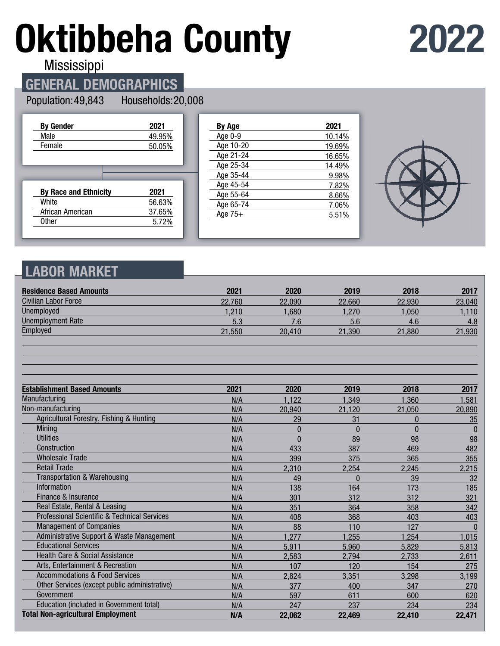# **Oktibbeha County**

# **2022**

Mississippi

# **GENERAL DEMOGRAPHICS**

#### Population: 49,843

Households: 20,008

| <b>By Gender</b>             | 2021   |
|------------------------------|--------|
| Male                         | 49.95% |
| Female                       | 50.05% |
|                              |        |
|                              |        |
|                              |        |
| <b>By Race and Ethnicity</b> | 2021   |
| White                        | 56.63% |
| African American             | 37.65% |

| By Age    | 2021   |
|-----------|--------|
| Age 0-9   | 10.14% |
| Age 10-20 | 19.69% |
| Age 21-24 | 16.65% |
| Age 25-34 | 14.49% |
| Age 35-44 | 9.98%  |
| Age 45-54 | 7.82%  |
| Age 55-64 | 8.66%  |
| Age 65-74 | 7.06%  |
| Age $75+$ | 5.51%  |
|           |        |



# **LABOR MARKET**

| <b>Residence Based Amounts</b>                          | 2021   | 2020     | 2019     | 2018     | 2017         |
|---------------------------------------------------------|--------|----------|----------|----------|--------------|
| <b>Civilian Labor Force</b>                             | 22,760 | 22,090   | 22,660   | 22,930   | 23,040       |
| <b>Unemployed</b>                                       | 1,210  | 1,680    | 1,270    | 1.050    | 1,110        |
| <b>Unemployment Rate</b>                                | 5.3    | 7.6      | 5.6      | 4.6      | 4.8          |
| Employed                                                | 21,550 | 20,410   | 21,390   | 21,880   | 21,930       |
|                                                         |        |          |          |          |              |
| <b>Establishment Based Amounts</b>                      | 2021   | 2020     | 2019     | 2018     | 2017         |
| Manufacturing                                           | N/A    | 1,122    | 1,349    | 1,360    | 1,581        |
| Non-manufacturing                                       | N/A    | 20,940   | 21,120   | 21,050   | 20,890       |
| Agricultural Forestry, Fishing & Hunting                | N/A    | 29       | 31       | $\bf{0}$ | 35           |
| Mining                                                  | N/A    | $\Omega$ | $\Omega$ | $\Omega$ | $\bf{0}$     |
| <b>Utilities</b>                                        | N/A    | $\Omega$ | 89       | 98       | 98           |
| Construction                                            | N/A    | 433      | 387      | 469      | 482          |
| <b>Wholesale Trade</b>                                  | N/A    | 399      | 375      | 365      | 355          |
| <b>Retail Trade</b>                                     | N/A    | 2,310    | 2,254    | 2,245    | 2,215        |
| <b>Transportation &amp; Warehousing</b>                 | N/A    | 49       | $\Omega$ | 39       | 32           |
| Information                                             | N/A    | 138      | 164      | 173      | 185          |
| Finance & Insurance                                     | N/A    | 301      | 312      | 312      | 321          |
| Real Estate, Rental & Leasing                           | N/A    | 351      | 364      | 358      | 342          |
| <b>Professional Scientific &amp; Technical Services</b> | N/A    | 408      | 368      | 403      | 403          |
| <b>Management of Companies</b>                          | N/A    | 88       | 110      | 127      | $\mathbf{0}$ |
| Administrative Support & Waste Management               | N/A    | 1,277    | 1,255    | 1,254    | 1,015        |
| <b>Educational Services</b>                             | N/A    | 5,911    | 5,960    | 5,829    | 5,813        |
| Health Care & Social Assistance                         | N/A    | 2,583    | 2,794    | 2,733    | 2,611        |
| Arts, Entertainment & Recreation                        | N/A    | 107      | 120      | 154      | 275          |
| <b>Accommodations &amp; Food Services</b>               | N/A    | 2,824    | 3,351    | 3,298    | 3,199        |
| Other Services (except public administrative)           | N/A    | 377      | 400      | 347      | 270          |
| Government                                              | N/A    | 597      | 611      | 600      | 620          |
| Education (included in Government total)                | N/A    | 247      | 237      | 234      | 234          |
| <b>Total Non-agricultural Employment</b>                | N/A    | 22,062   | 22,469   | 22,410   | 22,471       |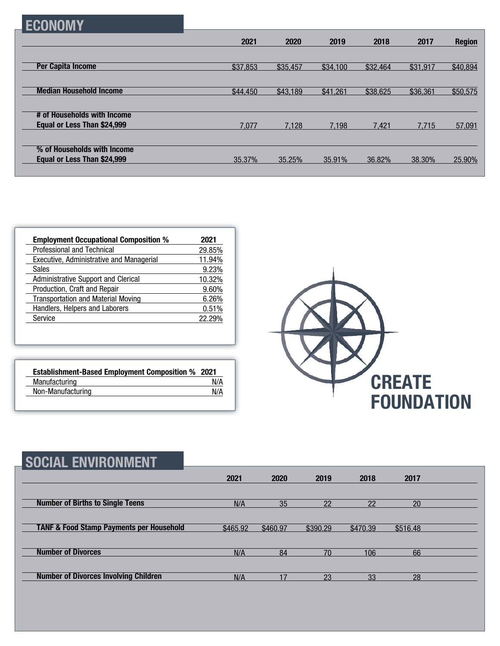|--|

|                                | 2021     | 2020     | 2019     | 2018     | 2017     | <b>Region</b> |
|--------------------------------|----------|----------|----------|----------|----------|---------------|
|                                |          |          |          |          |          |               |
| <b>Per Capita Income</b>       | \$37,853 | \$35,457 | \$34,100 | \$32,464 | \$31,917 | \$40,894      |
|                                |          |          |          |          |          |               |
| <b>Median Household Income</b> | \$44,450 | \$43,189 | \$41,261 | \$38,625 | \$36,361 | \$50,575      |
|                                |          |          |          |          |          |               |
| # of Households with Income    |          |          |          |          |          |               |
| Equal or Less Than \$24,999    | 7,077    | 7.128    | 7.198    | 7.421    | 7.715    | 57,091        |
|                                |          |          |          |          |          |               |
| % of Households with Income    |          |          |          |          |          |               |
| Equal or Less Than \$24,999    | 35.37%   | 35.25%   | 35.91%   | 36.82%   | 38.30%   | 25.90%        |
|                                |          |          |          |          |          |               |

| <b>Employment Occupational Composition %</b>    | 2021   |
|-------------------------------------------------|--------|
| <b>Professional and Technical</b>               | 29.85% |
| <b>Executive, Administrative and Managerial</b> | 11.94% |
| <b>Sales</b>                                    | 9.23%  |
| Administrative Support and Clerical             | 10.32% |
| Production, Craft and Repair                    | 9.60%  |
| <b>Transportation and Material Moving</b>       | 6.26%  |
| Handlers, Helpers and Laborers                  | 0.51%  |
| Service                                         | 22.29% |

| <b>Establishment-Based Employment Composition % 2021</b> |     |
|----------------------------------------------------------|-----|
| Manufacturing                                            | N/A |
| Non-Manufacturing                                        | N/A |



| <b>SOCIAL ENVIRONMENT</b>                           |          |          |          |          |          |  |
|-----------------------------------------------------|----------|----------|----------|----------|----------|--|
|                                                     | 2021     | 2020     | 2019     | 2018     | 2017     |  |
| <b>Number of Births to Single Teens</b>             | N/A      | 35       | 22       | 22       | 20       |  |
| <b>TANF &amp; Food Stamp Payments per Household</b> | \$465.92 | \$460.97 | \$390.29 | \$470.39 | \$516.48 |  |
| <b>Number of Divorces</b>                           | N/A      | 84       | 70       | 106      | 66       |  |
| <b>Number of Divorces Involving Children</b>        | N/A      | 17       | 23       | 33       | 28       |  |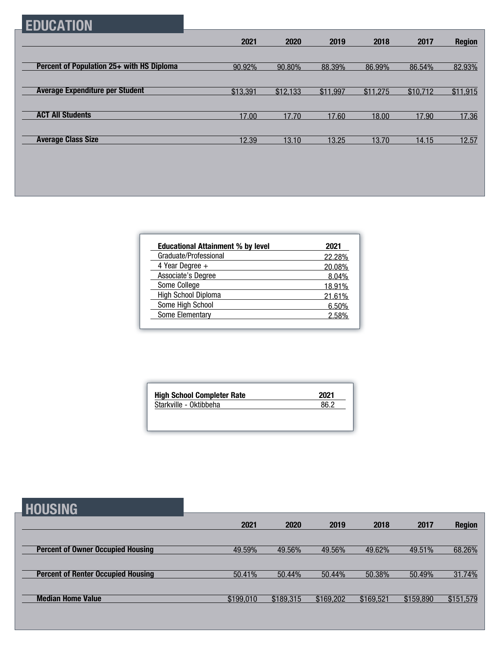# **EDUCATION**

|                                           | 2021     | 2020     | 2019     | 2018     | 2017     | <b>Region</b> |
|-------------------------------------------|----------|----------|----------|----------|----------|---------------|
|                                           |          |          |          |          |          |               |
| Percent of Population 25+ with HS Diploma | 90.92%   | 90.80%   | 88.39%   | 86.99%   | 86.54%   | 82.93%        |
|                                           |          |          |          |          |          |               |
| <b>Average Expenditure per Student</b>    | \$13,391 | \$12,133 | \$11,997 | \$11,275 | \$10,712 | \$11,915      |
|                                           |          |          |          |          |          |               |
| <b>ACT All Students</b>                   | 17.00    | 17.70    | 17.60    | 18.00    | 17.90    | 17.36         |
|                                           |          |          |          |          |          |               |
| <b>Average Class Size</b>                 | 12.39    | 13.10    | 13.25    | 13.70    | 14.15    | 12.57         |

| <b>Educational Attainment % by level</b> | 2021   |
|------------------------------------------|--------|
| Graduate/Professional                    | 22.28% |
| 4 Year Degree $+$                        | 20.08% |
| Associate's Degree                       | 8.04%  |
| Some College                             | 18.91% |
| High School Diploma                      | 21.61% |
| Some High School                         | 6.50%  |
| Some Elementary                          | 258%   |

| <b>High School Completer Rate</b> | 2021 |
|-----------------------------------|------|
| Starkville - Oktibbeha            | 86 2 |

| <b>HOUSING</b>                            |           |           |           |           |           |               |
|-------------------------------------------|-----------|-----------|-----------|-----------|-----------|---------------|
|                                           | 2021      | 2020      | 2019      | 2018      | 2017      | <b>Region</b> |
| <b>Percent of Owner Occupied Housing</b>  | 49.59%    | 49.56%    | 49.56%    | 49.62%    | 49.51%    | 68.26%        |
| <b>Percent of Renter Occupied Housing</b> | 50.41%    | 50.44%    | 50.44%    | 50.38%    | 50.49%    | 31.74%        |
| <b>Median Home Value</b>                  | \$199,010 | \$189,315 | \$169,202 | \$169,521 | \$159,890 | \$151,579     |